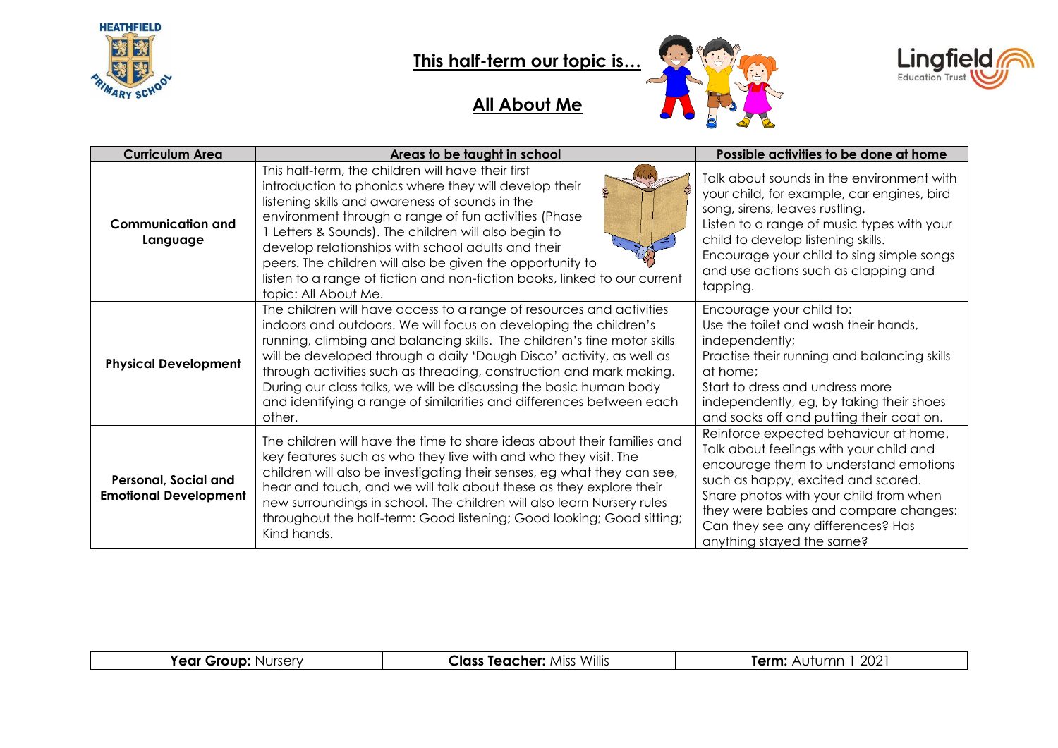

 $\overline{\phantom{a}}$ 

### **This half-term our topic is…**

#### **All About Me**





| <b>Curriculum Area</b>                               | Areas to be taught in school                                                                                                                                                                                                                                                                                                                                                                                                                                                                                                | Possible activities to be done at home                                                                                                                                                                                                                                                                               |
|------------------------------------------------------|-----------------------------------------------------------------------------------------------------------------------------------------------------------------------------------------------------------------------------------------------------------------------------------------------------------------------------------------------------------------------------------------------------------------------------------------------------------------------------------------------------------------------------|----------------------------------------------------------------------------------------------------------------------------------------------------------------------------------------------------------------------------------------------------------------------------------------------------------------------|
| <b>Communication and</b><br>Language                 | This half-term, the children will have their first<br>introduction to phonics where they will develop their<br>listening skills and awareness of sounds in the<br>environment through a range of fun activities (Phase<br>Letters & Sounds). The children will also begin to<br>develop relationships with school adults and their<br>peers. The children will also be given the opportunity to<br>listen to a range of fiction and non-fiction books, linked to our current<br>topic: All About Me.                        | Talk about sounds in the environment with<br>your child, for example, car engines, bird<br>song, sirens, leaves rustling.<br>Listen to a range of music types with your<br>child to develop listening skills.<br>Encourage your child to sing simple songs<br>and use actions such as clapping and<br>tapping.       |
| <b>Physical Development</b>                          | The children will have access to a range of resources and activities<br>indoors and outdoors. We will focus on developing the children's<br>running, climbing and balancing skills. The children's fine motor skills<br>will be developed through a daily 'Dough Disco' activity, as well as<br>through activities such as threading, construction and mark making.<br>During our class talks, we will be discussing the basic human body<br>and identifying a range of similarities and differences between each<br>other. | Encourage your child to:<br>Use the toilet and wash their hands,<br>independently;<br>Practise their running and balancing skills<br>at home:<br>Start to dress and undress more<br>independently, eg, by taking their shoes<br>and socks off and putting their coat on.                                             |
| Personal, Social and<br><b>Emotional Development</b> | The children will have the time to share ideas about their families and<br>key features such as who they live with and who they visit. The<br>children will also be investigating their senses, eg what they can see,<br>hear and touch, and we will talk about these as they explore their<br>new surroundings in school. The children will also learn Nursery rules<br>throughout the half-term: Good listening; Good looking; Good sitting;<br>Kind hands.                                                               | Reinforce expected behaviour at home.<br>Talk about feelings with your child and<br>encourage them to understand emotions<br>such as happy, excited and scared.<br>Share photos with your child from when<br>they were babies and compare changes:<br>Can they see any differences? Has<br>anything stayed the same? |

|  | <b>Year Group: Nursery</b> | <b>Class Teacher: Miss Willis</b> | 202<br><b>Term:</b> Aufumn |
|--|----------------------------|-----------------------------------|----------------------------|
|--|----------------------------|-----------------------------------|----------------------------|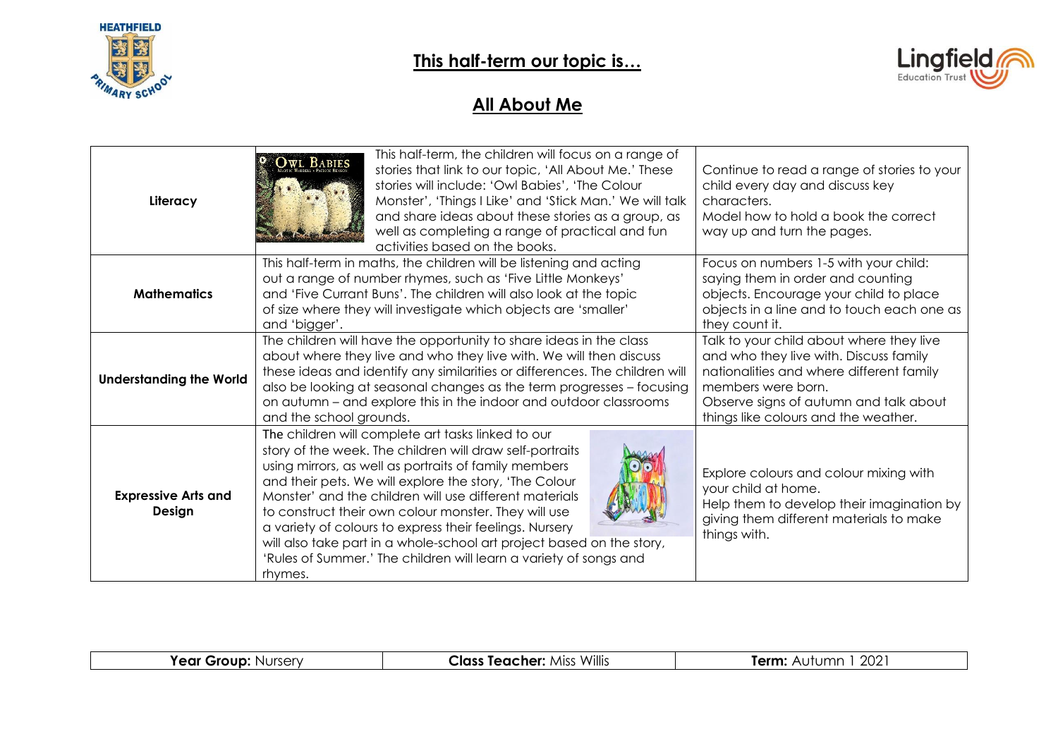



### **All About Me**

| Literacy                             | This half-term, the children will focus on a range of<br>stories that link to our topic, 'All About Me.' These<br>stories will include: 'Owl Babies', 'The Colour<br>Monster', 'Things I Like' and 'Stick Man.' We will talk<br>and share ideas about these stories as a group, as<br>well as completing a range of practical and fun<br>activities based on the books.                                                                                                                                                                                                 |  | Continue to read a range of stories to your<br>child every day and discuss key<br>characters.<br>Model how to hold a book the correct<br>way up and turn the pages.                                                                    |
|--------------------------------------|-------------------------------------------------------------------------------------------------------------------------------------------------------------------------------------------------------------------------------------------------------------------------------------------------------------------------------------------------------------------------------------------------------------------------------------------------------------------------------------------------------------------------------------------------------------------------|--|----------------------------------------------------------------------------------------------------------------------------------------------------------------------------------------------------------------------------------------|
| <b>Mathematics</b>                   | This half-term in maths, the children will be listening and acting<br>out a range of number rhymes, such as 'Five Little Monkeys'<br>and 'Five Currant Buns'. The children will also look at the topic<br>of size where they will investigate which objects are 'smaller'<br>and 'bigger'.                                                                                                                                                                                                                                                                              |  | Focus on numbers 1-5 with your child:<br>saying them in order and counting<br>objects. Encourage your child to place<br>objects in a line and to touch each one as<br>they count it.                                                   |
| <b>Understanding the World</b>       | The children will have the opportunity to share ideas in the class<br>about where they live and who they live with. We will then discuss<br>these ideas and identify any similarities or differences. The children will<br>also be looking at seasonal changes as the term progresses - focusing<br>on autumn - and explore this in the indoor and outdoor classrooms<br>and the school grounds.                                                                                                                                                                        |  | Talk to your child about where they live<br>and who they live with. Discuss family<br>nationalities and where different family<br>members were born.<br>Observe signs of autumn and talk about<br>things like colours and the weather. |
| <b>Expressive Arts and</b><br>Design | The children will complete art tasks linked to our<br>story of the week. The children will draw self-portraits<br>using mirrors, as well as portraits of family members<br>and their pets. We will explore the story, 'The Colour<br>Monster' and the children will use different materials<br>to construct their own colour monster. They will use<br>a variety of colours to express their feelings. Nursery<br>will also take part in a whole-school art project based on the story,<br>'Rules of Summer.' The children will learn a variety of songs and<br>rhymes. |  | Explore colours and colour mixing with<br>your child at home.<br>Help them to develop their imagination by<br>giving them different materials to make<br>things with.                                                                  |

| Year Group:<br><b>Nurserv</b> | Class Teacher: .<br><b>MISS</b><br>Willis | $\sim$<br>$ -$<br>100r<br>. ∆rr<br>m<br>ZUZ<br>enn.<br>nui |
|-------------------------------|-------------------------------------------|------------------------------------------------------------|
|                               |                                           |                                                            |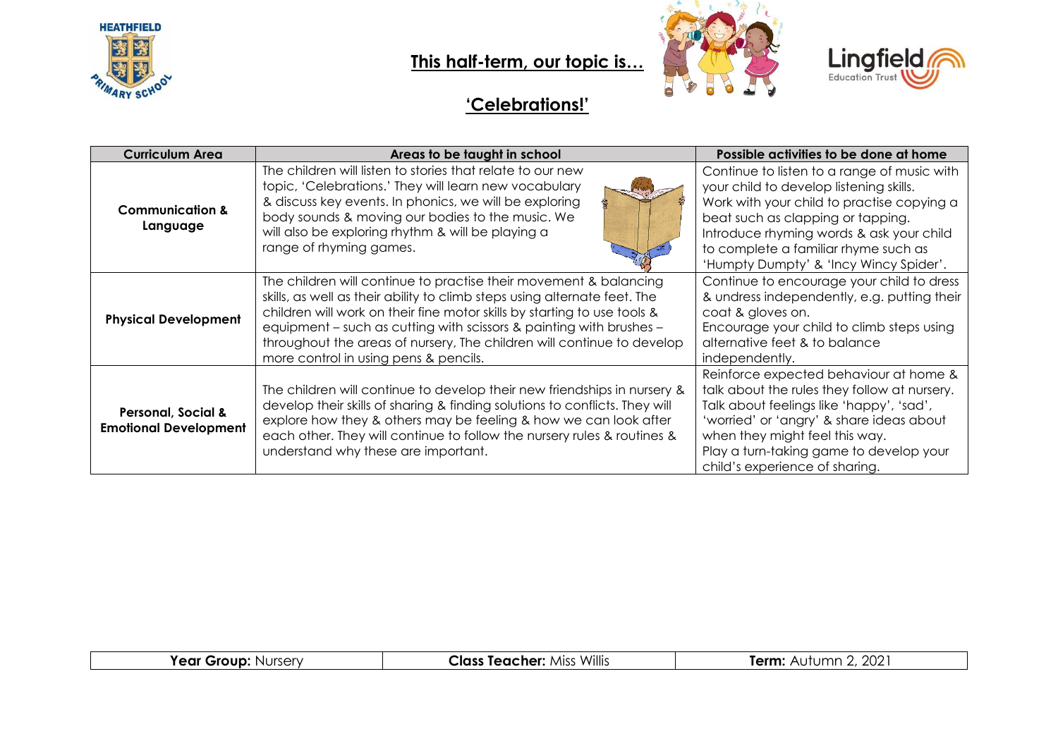

**This half-term, our topic is…**





### **'Celebrations!'**

| <b>Curriculum Area</b>                                        | Areas to be taught in school                                                                                                                                                                                                                                                                                                                                                                                         | Possible activities to be done at home                                                                                                                                                                                                                                                                  |
|---------------------------------------------------------------|----------------------------------------------------------------------------------------------------------------------------------------------------------------------------------------------------------------------------------------------------------------------------------------------------------------------------------------------------------------------------------------------------------------------|---------------------------------------------------------------------------------------------------------------------------------------------------------------------------------------------------------------------------------------------------------------------------------------------------------|
| <b>Communication &amp;</b><br>Language                        | The children will listen to stories that relate to our new<br>topic, 'Celebrations.' They will learn new vocabulary<br>& discuss key events. In phonics, we will be exploring<br>body sounds & moving our bodies to the music. We<br>will also be exploring rhythm & will be playing a<br>range of rhyming games.                                                                                                    | Continue to listen to a range of music with<br>your child to develop listening skills.<br>Work with your child to practise copying a<br>beat such as clapping or tapping.<br>Introduce rhyming words & ask your child<br>to complete a familiar rhyme such as<br>'Humpty Dumpty' & 'Incy Wincy Spider'. |
| <b>Physical Development</b>                                   | The children will continue to practise their movement & balancing<br>skills, as well as their ability to climb steps using alternate feet. The<br>children will work on their fine motor skills by starting to use tools &<br>equipment - such as cutting with scissors & painting with brushes -<br>throughout the areas of nursery, The children will continue to develop<br>more control in using pens & pencils. | Continue to encourage your child to dress<br>& undress independently, e.g. putting their<br>coat & gloves on.<br>Encourage your child to climb steps using<br>alternative feet & to balance<br>independently.                                                                                           |
| <b>Personal, Social &amp;</b><br><b>Emotional Development</b> | The children will continue to develop their new friendships in nursery &<br>develop their skills of sharing & finding solutions to conflicts. They will<br>explore how they & others may be feeling & how we can look after<br>each other. They will continue to follow the nursery rules & routines &<br>understand why these are important.                                                                        | Reinforce expected behaviour at home &<br>talk about the rules they follow at nursery.<br>Talk about feelings like 'happy', 'sad',<br>'worried' or 'angry' & share ideas about<br>when they might feel this way.<br>Play a turn-taking game to develop your<br>child's experience of sharing.           |

| Year Group:<br>Mursery N | Willis<br><b>Class Teacher: Miss</b> | ., 2021<br>Term:<br>Autumn |
|--------------------------|--------------------------------------|----------------------------|
|                          |                                      |                            |